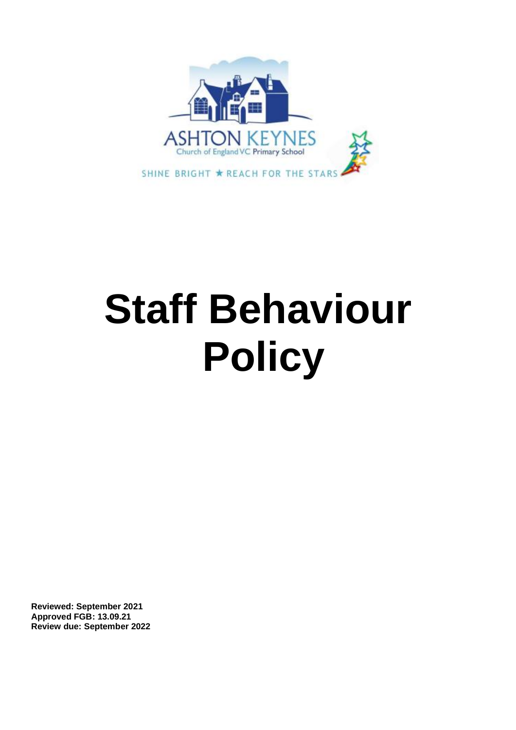

# **Staff Behaviour Policy**

**Reviewed: September 2021 Approved FGB: 13.09.21 Review due: September 2022**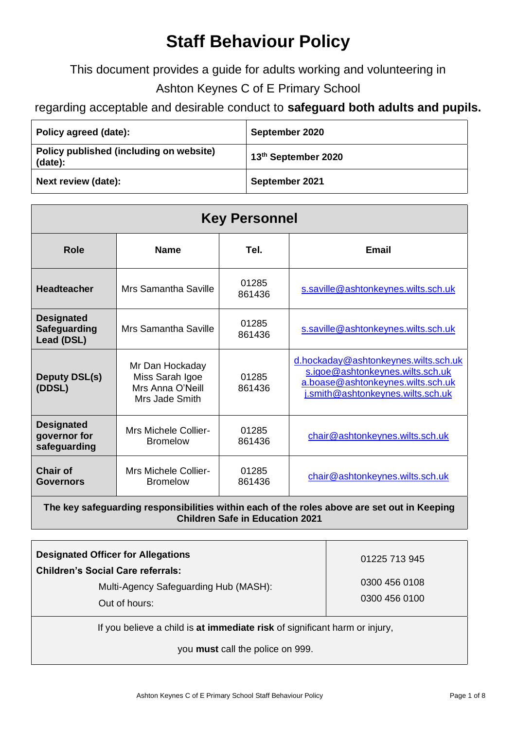# **Staff Behaviour Policy**

This document provides a guide for adults working and volunteering in

# Ashton Keynes C of E Primary School

# regarding acceptable and desirable conduct to **safeguard both adults and pupils.**

| Policy agreed (date):                              | September 2020      |
|----------------------------------------------------|---------------------|
| Policy published (including on website)<br>(date): | 13th September 2020 |
| Next review (date):                                | September 2021      |

| <b>Key Personnel</b>                                   |                                                                          |                 |                                                                                                                                                    |  |  |  |
|--------------------------------------------------------|--------------------------------------------------------------------------|-----------------|----------------------------------------------------------------------------------------------------------------------------------------------------|--|--|--|
| <b>Role</b>                                            | <b>Name</b>                                                              | Tel.            | Email                                                                                                                                              |  |  |  |
| <b>Headteacher</b>                                     | <b>Mrs Samantha Saville</b>                                              | 01285<br>861436 | s.saville@ashtonkeynes.wilts.sch.uk                                                                                                                |  |  |  |
| <b>Designated</b><br><b>Safeguarding</b><br>Lead (DSL) | Mrs Samantha Saville                                                     | 01285<br>861436 | s.saville@ashtonkeynes.wilts.sch.uk                                                                                                                |  |  |  |
| <b>Deputy DSL(s)</b><br>(DDSL)                         | Mr Dan Hockaday<br>Miss Sarah Igoe<br>Mrs Anna O'Neill<br>Mrs Jade Smith | 01285<br>861436 | d.hockaday@ashtonkeynes.wilts.sch.uk<br>s.igoe@ashtonkeynes.wilts.sch.uk<br>a.boase@ashtonkeynes.wilts.sch.uk<br>j.smith@ashtonkeynes.wilts.sch.uk |  |  |  |
| <b>Designated</b><br>governor for<br>safeguarding      | <b>Mrs Michele Collier-</b><br><b>Bromelow</b>                           | 01285<br>861436 | chair@ashtonkeynes.wilts.sch.uk                                                                                                                    |  |  |  |
| Chair of<br>Governors                                  | <b>Mrs Michele Collier-</b><br><b>Bromelow</b>                           | 01285<br>861436 | chair@ashtonkeynes.wilts.sch.uk                                                                                                                    |  |  |  |

#### **The key safeguarding responsibilities within each of the roles above are set out in Keeping Children Safe in Education 2021**

| <b>Designated Officer for Allegations</b>                                  |                                |  |
|----------------------------------------------------------------------------|--------------------------------|--|
| <b>Children's Social Care referrals:</b>                                   | 01225 713 945                  |  |
| Multi-Agency Safeguarding Hub (MASH):<br>Out of hours:                     | 0300 456 0108<br>0300 456 0100 |  |
| If you believe a child is at immediate risk of significant harm or injury, |                                |  |

you **must** call the police on 999.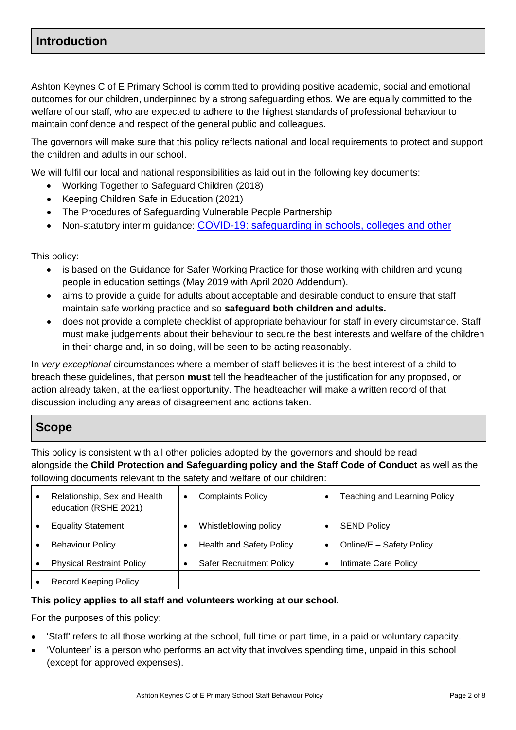## **Introduction**

Ashton Keynes C of E Primary School is committed to providing positive academic, social and emotional outcomes for our children, underpinned by a strong safeguarding ethos. We are equally committed to the welfare of our staff, who are expected to adhere to the highest standards of professional behaviour to maintain confidence and respect of the general public and colleagues.

The governors will make sure that this policy reflects national and local requirements to protect and support the children and adults in our school.

We will fulfil our local and national responsibilities as laid out in the following key documents:

- Working Together to Safeguard Children (2018)
- Keeping Children Safe in Education (2021)
- The Procedures of Safeguarding Vulnerable People Partnership
- Non-statutory interim guidance: [COVID-19: safeguarding in](https://www.gov.uk/government/publications/covid-19-safeguarding-in-schools-colleges-and-other-providers/coronavirus-covid-19-safeguarding-in-schools-colleges-and-other-providers) [schools, colleges and other](https://www.gov.uk/government/publications/covid-19-safeguarding-in-schools-colleges-and-other-providers/coronavirus-covid-19-safeguarding-in-schools-colleges-and-other-providers)

This policy:

- is based on the Guidance for Safer Working Practice for those working with children and young people in education settings (May 2019 with April 2020 Addendum).
- aims to provide a quide for adults about acceptable and desirable conduct to ensure that staff maintain safe working practice and so **safeguard both children and adults.**
- does not provide a complete checklist of appropriate behaviour for staff in every circumstance. Staff must make judgements about their behaviour to secure the best interests and welfare of the children in their charge and, in so doing, will be seen to be acting reasonably.

In *very exceptional* circumstances where a member of staff believes it is the best interest of a child to breach these guidelines, that person **must** tell the headteacher of the justification for any proposed, or action already taken, at the earliest opportunity. The headteacher will make a written record of that discussion including any areas of disagreement and actions taken.

### **Scope**

This policy is consistent with all other policies adopted by the governors and should be read alongside the **Child Protection and Safeguarding policy and the Staff Code of Conduct** as well as the following documents relevant to the safety and welfare of our children:

| Relationship, Sex and Health<br>education (RSHE 2021) | <b>Complaints Policy</b><br>٠   | Teaching and Learning Policy          |
|-------------------------------------------------------|---------------------------------|---------------------------------------|
| <b>Equality Statement</b>                             | Whistleblowing policy           | <b>SEND Policy</b>                    |
| <b>Behaviour Policy</b>                               | <b>Health and Safety Policy</b> | Online/E - Safety Policy<br>$\bullet$ |
| <b>Physical Restraint Policy</b>                      | <b>Safer Recruitment Policy</b> | Intimate Care Policy<br>٠             |
| <b>Record Keeping Policy</b>                          |                                 |                                       |

#### **This policy applies to all staff and volunteers working at our school.**

For the purposes of this policy:

- 'Staff' refers to all those working at the school, full time or part time, in a paid or voluntary capacity.
- 'Volunteer' is a person who performs an activity that involves spending time, unpaid in this school (except for approved expenses).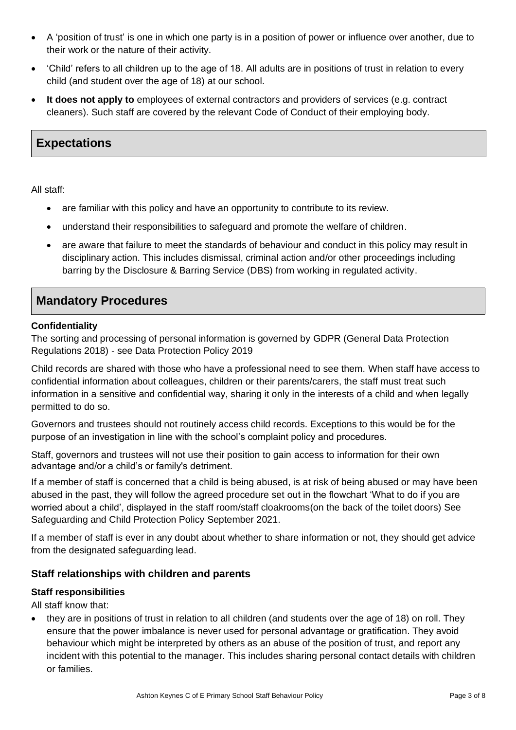- A 'position of trust' is one in which one party is in a position of power or influence over another, due to their work or the nature of their activity.
- 'Child' refers to all children up to the age of 18. All adults are in positions of trust in relation to every child (and student over the age of 18) at our school.
- **It does not apply to** employees of external contractors and providers of services (e.g. contract cleaners). Such staff are covered by the relevant Code of Conduct of their employing body.

# **Expectations**

All staff:

- are familiar with this policy and have an opportunity to contribute to its review.
- understand their responsibilities to safeguard and promote the welfare of children.
- are aware that failure to meet the standards of behaviour and conduct in this policy may result in disciplinary action. This includes dismissal, criminal action and/or other proceedings including barring by the Disclosure & Barring Service (DBS) from working in regulated activity.

# **Mandatory Procedures**

#### **Confidentiality**

The sorting and processing of personal information is governed by GDPR (General Data Protection Regulations 2018) - see Data Protection Policy 2019

Child records are shared with those who have a professional need to see them. When staff have access to confidential information about colleagues, children or their parents/carers, the staff must treat such information in a sensitive and confidential way, sharing it only in the interests of a child and when legally permitted to do so.

Governors and trustees should not routinely access child records. Exceptions to this would be for the purpose of an investigation in line with the school's complaint policy and procedures.

Staff, governors and trustees will not use their position to gain access to information for their own advantage and/or a child's or family's detriment.

If a member of staff is concerned that a child is being abused, is at risk of being abused or may have been abused in the past, they will follow the agreed procedure set out in the flowchart 'What to do if you are worried about a child', displayed in the staff room/staff cloakrooms(on the back of the toilet doors) See Safeguarding and Child Protection Policy September 2021.

If a member of staff is ever in any doubt about whether to share information or not, they should get advice from the designated safeguarding lead.

#### **Staff relationships with children and parents**

#### **Staff responsibilities**

All staff know that:

• they are in positions of trust in relation to all children (and students over the age of 18) on roll. They ensure that the power imbalance is never used for personal advantage or gratification. They avoid behaviour which might be interpreted by others as an abuse of the position of trust, and report any incident with this potential to the manager. This includes sharing personal contact details with children or families.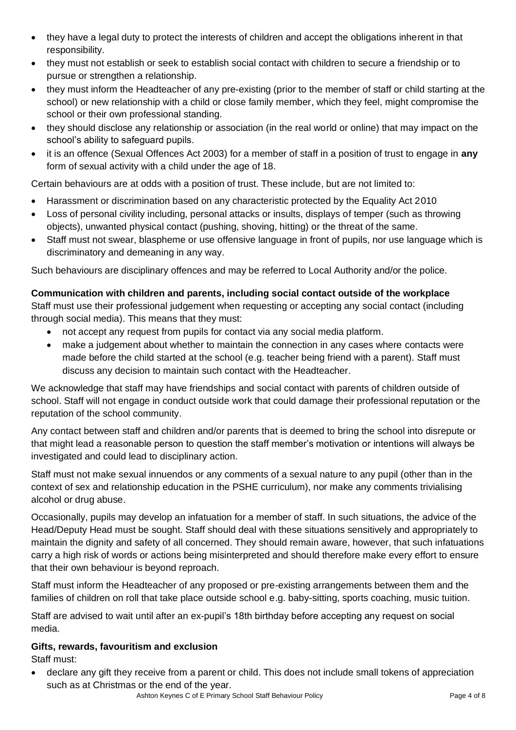- they have a legal duty to protect the interests of children and accept the obligations inherent in that responsibility.
- they must not establish or seek to establish social contact with children to secure a friendship or to pursue or strengthen a relationship.
- they must inform the Headteacher of any pre-existing (prior to the member of staff or child starting at the school) or new relationship with a child or close family member, which they feel, might compromise the school or their own professional standing.
- they should disclose any relationship or association (in the real world or online) that may impact on the school's ability to safeguard pupils.
- it is an offence (Sexual Offences Act 2003) for a member of staff in a position of trust to engage in **any** form of sexual activity with a child under the age of 18.

Certain behaviours are at odds with a position of trust. These include, but are not limited to:

- Harassment or discrimination based on any characteristic protected by the Equality Act 2010
- Loss of personal civility including, personal attacks or insults, displays of temper (such as throwing objects), unwanted physical contact (pushing, shoving, hitting) or the threat of the same.
- Staff must not swear, blaspheme or use offensive language in front of pupils, nor use language which is discriminatory and demeaning in any way.

Such behaviours are disciplinary offences and may be referred to Local Authority and/or the police.

#### **Communication with children and parents, including social contact outside of the workplace**

Staff must use their professional judgement when requesting or accepting any social contact (including through social media). This means that they must:

- not accept any request from pupils for contact via any social media platform.
- make a judgement about whether to maintain the connection in any cases where contacts were made before the child started at the school (e.g. teacher being friend with a parent). Staff must discuss any decision to maintain such contact with the Headteacher.

We acknowledge that staff may have friendships and social contact with parents of children outside of school. Staff will not engage in conduct outside work that could damage their professional reputation or the reputation of the school community.

Any contact between staff and children and/or parents that is deemed to bring the school into disrepute or that might lead a reasonable person to question the staff member's motivation or intentions will always be investigated and could lead to disciplinary action.

Staff must not make sexual innuendos or any comments of a sexual nature to any pupil (other than in the context of sex and relationship education in the PSHE curriculum), nor make any comments trivialising alcohol or drug abuse.

Occasionally, pupils may develop an infatuation for a member of staff. In such situations, the advice of the Head/Deputy Head must be sought. Staff should deal with these situations sensitively and appropriately to maintain the dignity and safety of all concerned. They should remain aware, however, that such infatuations carry a high risk of words or actions being misinterpreted and should therefore make every effort to ensure that their own behaviour is beyond reproach.

Staff must inform the Headteacher of any proposed or pre-existing arrangements between them and the families of children on roll that take place outside school e.g. baby-sitting, sports coaching, music tuition.

Staff are advised to wait until after an ex-pupil's 18th birthday before accepting any request on social media.

#### **Gifts, rewards, favouritism and exclusion**

Staff must:

• declare any gift they receive from a parent or child. This does not include small tokens of appreciation such as at Christmas or the end of the year.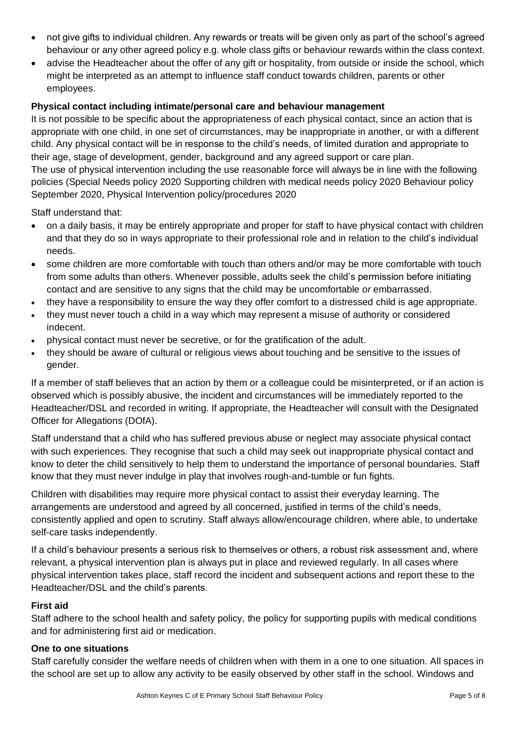- not give gifts to individual children. Any rewards or treats will be given only as part of the school's agreed behaviour or any other agreed policy e.g. whole class gifts or behaviour rewards within the class context.
- advise the Headteacher about the offer of any gift or hospitality, from outside or inside the school, which might be interpreted as an attempt to influence staff conduct towards children, parents or other employees.

#### **Physical contact including intimate/personal care and behaviour management**

It is not possible to be specific about the appropriateness of each physical contact, since an action that is appropriate with one child, in one set of circumstances, may be inappropriate in another, or with a different child. Any physical contact will be in response to the child's needs, of limited duration and appropriate to their age, stage of development, gender, background and any agreed support or care plan. The use of physical intervention including the use reasonable force will always be in line with the following policies (Special Needs policy 2020 Supporting children with medical needs policy 2020 Behaviour policy September 2020, Physical Intervention policy/procedures 2020

Staff understand that:

- on a daily basis, it may be entirely appropriate and proper for staff to have physical contact with children and that they do so in ways appropriate to their professional role and in relation to the child's individual needs.
- some children are more comfortable with touch than others and/or may be more comfortable with touch from some adults than others. Whenever possible, adults seek the child's permission before initiating contact and are sensitive to any signs that the child may be uncomfortable *or* embarrassed.
- they have a responsibility to ensure the way they offer comfort to a distressed child is age appropriate.
- they must never touch a child in a way which may represent a misuse of authority or considered indecent.
- physical contact must never be secretive, or for the gratification of the adult.
- they should be aware of cultural or religious views about touching and be sensitive to the issues of gender.

If a member of staff believes that an action by them or a colleague could be misinterpreted, or if an action is observed which is possibly abusive, the incident and circumstances will be immediately reported to the Headteacher/DSL and recorded in writing. If appropriate, the Headteacher will consult with the Designated Officer for Allegations (DOfA).

Staff understand that a child who has suffered previous abuse or neglect may associate physical contact with such experiences. They recognise that such a child may seek out inappropriate physical contact and know to deter the child sensitively to help them to understand the importance of personal boundaries. Staff know that they must never indulge in play that involves rough-and-tumble or fun fights.

Children with disabilities may require more physical contact to assist their everyday learning. The arrangements are understood and agreed by all concerned, justified in terms of the child's needs, consistently applied and open to scrutiny. Staff always allow/encourage children, where able, to undertake self-care tasks independently.

If a child's behaviour presents a serious risk to themselves or others, a robust risk assessment and, where relevant, a physical intervention plan is always put in place and reviewed regularly. In all cases where physical intervention takes place, staff record the incident and subsequent actions and report these to the Headteacher/DSL and the child's parents.

#### **First aid**

Staff adhere to the school health and safety policy, the policy for supporting pupils with medical conditions and for administering first aid or medication.

#### **One to one situations**

Staff carefully consider the welfare needs of children when with them in a one to one situation. All spaces in the school are set up to allow any activity to be easily observed by other staff in the school. Windows and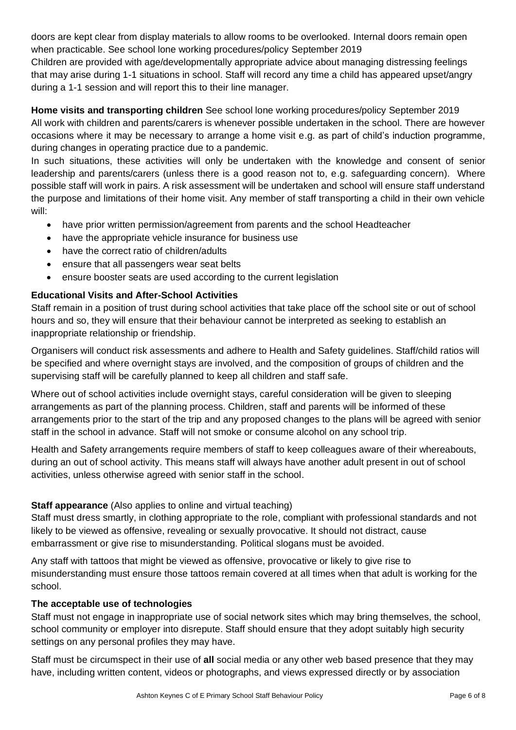doors are kept clear from display materials to allow rooms to be overlooked. Internal doors remain open when practicable. See school lone working procedures/policy September 2019

Children are provided with age/developmentally appropriate advice about managing distressing feelings that may arise during 1-1 situations in school. Staff will record any time a child has appeared upset/angry during a 1-1 session and will report this to their line manager.

**Home visits and transporting children** See school lone working procedures/policy September 2019 All work with children and parents/carers is whenever possible undertaken in the school. There are however occasions where it may be necessary to arrange a home visit e.g. as part of child's induction programme, during changes in operating practice due to a pandemic.

In such situations, these activities will only be undertaken with the knowledge and consent of senior leadership and parents/carers (unless there is a good reason not to, e.g. safeguarding concern). Where possible staff will work in pairs. A risk assessment will be undertaken and school will ensure staff understand the purpose and limitations of their home visit. Any member of staff transporting a child in their own vehicle will:

- have prior written permission/agreement from parents and the school Headteacher
- have the appropriate vehicle insurance for business use
- have the correct ratio of children/adults
- ensure that all passengers wear seat belts
- ensure booster seats are used according to the current legislation

#### **Educational Visits and After-School Activities**

Staff remain in a position of trust during school activities that take place off the school site or out of school hours and so, they will ensure that their behaviour cannot be interpreted as seeking to establish an inappropriate relationship or friendship.

Organisers will conduct risk assessments and adhere to Health and Safety guidelines. Staff/child ratios will be specified and where overnight stays are involved, and the composition of groups of children and the supervising staff will be carefully planned to keep all children and staff safe.

Where out of school activities include overnight stays, careful consideration will be given to sleeping arrangements as part of the planning process. Children, staff and parents will be informed of these arrangements prior to the start of the trip and any proposed changes to the plans will be agreed with senior staff in the school in advance. Staff will not smoke or consume alcohol on any school trip.

Health and Safety arrangements require members of staff to keep colleagues aware of their whereabouts, during an out of school activity. This means staff will always have another adult present in out of school activities, unless otherwise agreed with senior staff in the school.

#### **Staff appearance** (Also applies to online and virtual teaching)

Staff must dress smartly, in clothing appropriate to the role, compliant with professional standards and not likely to be viewed as offensive, revealing or sexually provocative. It should not distract, cause embarrassment or give rise to misunderstanding. Political slogans must be avoided.

Any staff with tattoos that might be viewed as offensive, provocative or likely to give rise to misunderstanding must ensure those tattoos remain covered at all times when that adult is working for the school.

#### **The acceptable use of technologies**

Staff must not engage in inappropriate use of social network sites which may bring themselves, the school, school community or employer into disrepute. Staff should ensure that they adopt suitably high security settings on any personal profiles they may have.

Staff must be circumspect in their use of **all** social media or any other web based presence that they may have, including written content, videos or photographs, and views expressed directly or by association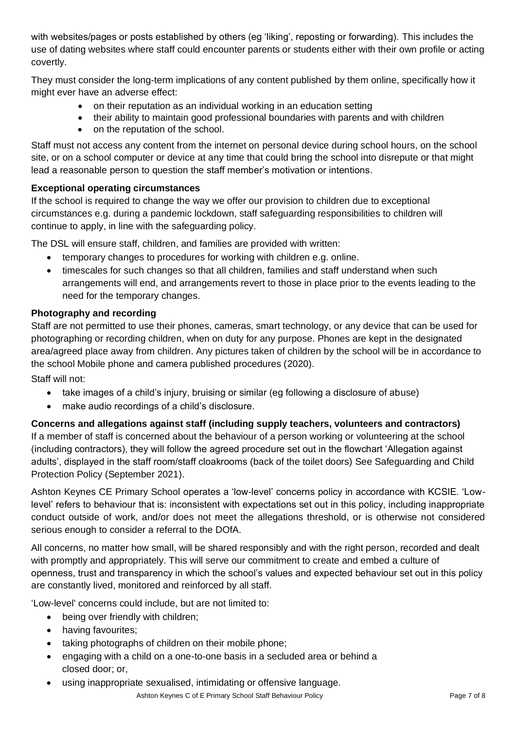with websites/pages or posts established by others (eg 'liking', reposting or forwarding). This includes the use of dating websites where staff could encounter parents or students either with their own profile or acting covertly.

They must consider the long-term implications of any content published by them online, specifically how it might ever have an adverse effect:

- on their reputation as an individual working in an education setting
- their ability to maintain good professional boundaries with parents and with children
- on the reputation of the school.

Staff must not access any content from the internet on personal device during school hours, on the school site, or on a school computer or device at any time that could bring the school into disrepute or that might lead a reasonable person to question the staff member's motivation or intentions.

#### **Exceptional operating circumstances**

If the school is required to change the way we offer our provision to children due to exceptional circumstances e.g. during a pandemic lockdown, staff safeguarding responsibilities to children will continue to apply, in line with the safeguarding policy.

The DSL will ensure staff, children, and families are provided with written:

- temporary changes to procedures for working with children e.g. online.
- timescales for such changes so that all children, families and staff understand when such arrangements will end, and arrangements revert to those in place prior to the events leading to the need for the temporary changes.

#### **Photography and recording**

Staff are not permitted to use their phones, cameras, smart technology, or any device that can be used for photographing or recording children, when on duty for any purpose. Phones are kept in the designated area/agreed place away from children. Any pictures taken of children by the school will be in accordance to the school Mobile phone and camera published procedures (2020).

Staff will not:

- take images of a child's injury, bruising or similar (eg following a disclosure of abuse)
- make audio recordings of a child's disclosure.

**Concerns and allegations against staff (including supply teachers, volunteers and contractors)** If a member of staff is concerned about the behaviour of a person working or volunteering at the school (including contractors), they will follow the agreed procedure set out in the flowchart 'Allegation against adults', displayed in the staff room/staff cloakrooms (back of the toilet doors) See Safeguarding and Child Protection Policy (September 2021).

Ashton Keynes CE Primary School operates a 'low-level' concerns policy in accordance with KCSIE. 'Lowlevel' refers to behaviour that is: inconsistent with expectations set out in this policy, including inappropriate conduct outside of work, and/or does not meet the allegations threshold, or is otherwise not considered serious enough to consider a referral to the DOfA.

All concerns, no matter how small, will be shared responsibly and with the right person, recorded and dealt with promptly and appropriately. This will serve our commitment to create and embed a culture of openness, trust and transparency in which the school's values and expected behaviour set out in this policy are constantly lived, monitored and reinforced by all staff.

'Low-level' concerns could include, but are not limited to:

- being over friendly with children;
- having favourites;
- taking photographs of children on their mobile phone;
- engaging with a child on a one-to-one basis in a secluded area or behind a closed door; or,
- using inappropriate sexualised, intimidating or offensive language.